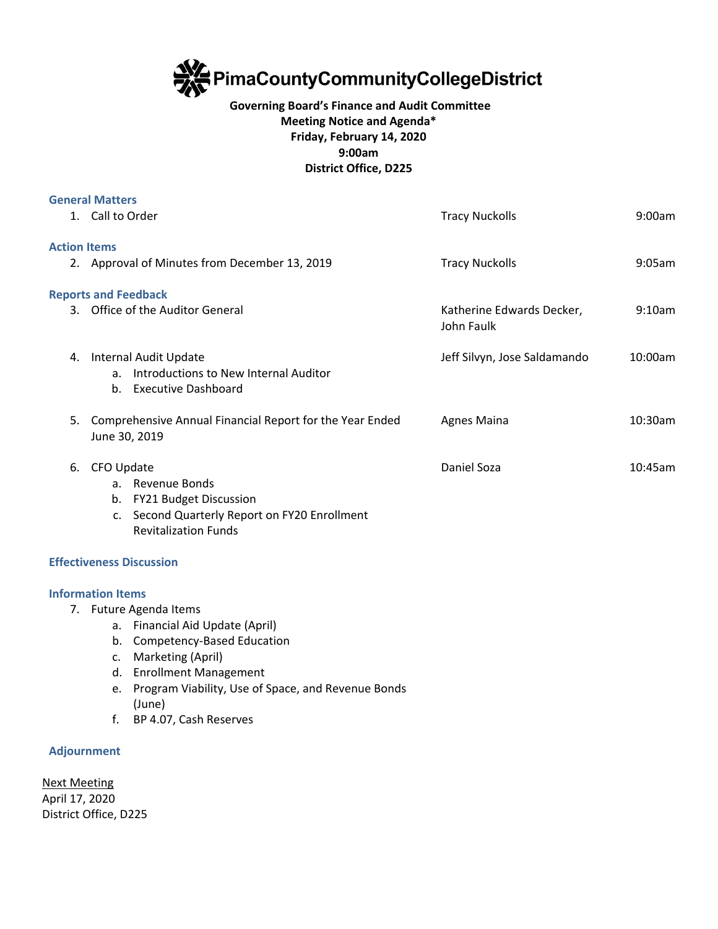

## **Governing Board's Finance and Audit Committee Meeting Notice and Agenda\* Friday, February 14, 2020 9:00am District Office, D225**

|                     | <b>General Matters</b>                                                                                                                                               |                                         |         |
|---------------------|----------------------------------------------------------------------------------------------------------------------------------------------------------------------|-----------------------------------------|---------|
|                     | 1. Call to Order                                                                                                                                                     | <b>Tracy Nuckolls</b>                   | 9:00am  |
| <b>Action Items</b> |                                                                                                                                                                      |                                         |         |
|                     | 2. Approval of Minutes from December 13, 2019                                                                                                                        | <b>Tracy Nuckolls</b>                   | 9:05am  |
|                     | <b>Reports and Feedback</b>                                                                                                                                          |                                         |         |
|                     | 3. Office of the Auditor General                                                                                                                                     | Katherine Edwards Decker,<br>John Faulk | 9:10am  |
| 4.                  | Internal Audit Update<br>Introductions to New Internal Auditor<br>a <sub>z</sub><br><b>Executive Dashboard</b><br>b.                                                 | Jeff Silvyn, Jose Saldamando            | 10:00am |
| 5.                  | Comprehensive Annual Financial Report for the Year Ended<br>June 30, 2019                                                                                            | <b>Agnes Maina</b>                      | 10:30am |
| 6.                  | CFO Update<br>a. Revenue Bonds<br><b>FY21 Budget Discussion</b><br>b.<br>Second Quarterly Report on FY20 Enrollment<br>$\mathsf{C}$ .<br><b>Revitalization Funds</b> | Daniel Soza                             | 10:45am |
|                     | <b>Effectiveness Discussion</b>                                                                                                                                      |                                         |         |
|                     | <b>Information Items</b>                                                                                                                                             |                                         |         |

- 7. Future Agenda Items
	- a. Financial Aid Update (April)
	- b. Competency-Based Education
	- c. Marketing (April)
	- d. Enrollment Management
	- e. Program Viability, Use of Space, and Revenue Bonds (June)
	- f. BP 4.07, Cash Reserves

## **Adjournment**

Next Meeting April 17, 2020 District Office, D225